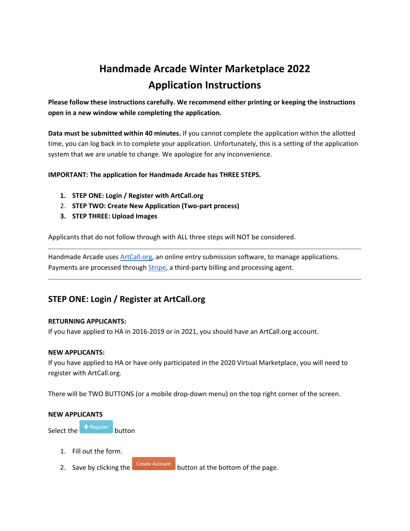# **Handmade Arcade Winter Marketplace 2022 Application Instructions**

**Please follow these instructions carefully. We recommend either printing or keeping the instructions open in a new window while completing the application.**

**Data must be submitted within 40 minutes.** If you cannot complete the application within the allotted time, you can log back in to complete your application. Unfortunately, this is a setting of the application system that we are unable to change. We apologize for any inconvenience.

# **IMPORTANT: The application for Handmade Arcade has THREE STEPS.**

- **1. STEP ONE: Login / Register with ArtCall.org**
- 2. **STEP TWO: Create New Application (Two-part process)**
- **3. STEP THREE: Upload Images**

Applicants that do not follow through with ALL three steps will NOT be considered.

Handmade Arcade use[s ArtCall.org,](https://artcall.org/) an online entry submission software, to manage applications. Payments are processed through *Stripe*, a third-party billing and processing agent.

# **STEP ONE: Login / Register at ArtCall.org**

# **RETURNING APPLICANTS:**

If you have applied to HA in 2016-2019 or in 2021, you should have an ArtCall.org account.

# **NEW APPLICANTS:**

If you have applied to HA or have only participated in the 2020 Virtual Marketplace, you will need to register with ArtCall.org.

There will be TWO BUTTONS (or a mobile drop-down menu) on the top right corner of the screen.

#### **NEW APPLICANTS**

Select the  $\frac{1}{2}$  Register button

- 1. Fill out the form.
- 2. Save by clicking the **Create Account** button at the bottom of the page.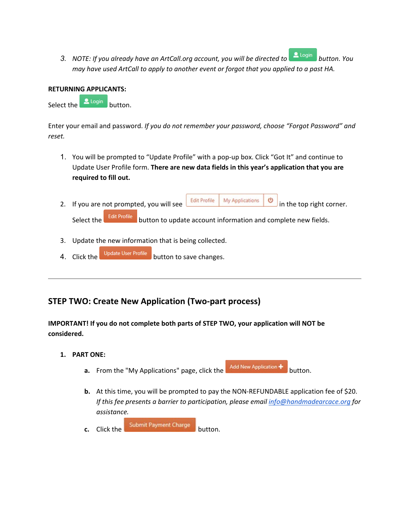3. *NOTE: If you already have an ArtCall.org account, you will be directed to* **button.** You *may have used ArtCall to apply to another event or forgot that you applied to a past HA.* 

# **RETURNING APPLICANTS:**

Select the button.

Enter your email and password. *If you do not remember your password, choose "Forgot Password" and reset.*

- 1. You will be prompted to "Update Profile" with a pop-up box. Click "Got It" and continue to Update User Profile form. **There are new data fields in this year's application that you are required to fill out.**
- 2. If you are not prompted, you will see  $\frac{\text{Edit Profile}}{\text{Multi Profile}}$  My Applications  $\frac{10}{10}$  in the top right corner. Select the **Edit Profile** button to update account information and complete new fields.
- 3. Update the new information that is being collected.
- 4. Click the Update User Profile button to save changes.

# **STEP TWO: Create New Application (Two-part process)**

**IMPORTANT! If you do not complete both parts of STEP TWO, your application will NOT be considered.**

- **1. PART ONE:**
	- **a.** From the "My Applications" page, click the Add New Application + button.
	- **b.** At this time, you will be prompted to pay the NON-REFUNDABLE application fee of \$20. *If this fee presents a barrier to participation, please email [info@handmadearcace.org](mailto:info@handmadearcace.org) for assistance.*
	- **c.** Click the submit Payment Charge button.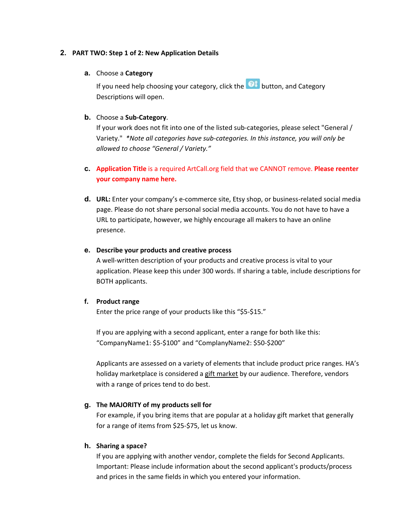#### **2. PART TWO: Step 1 of 2: New Application Details**

#### **a.** Choose a **Category**

If you need help choosing your category, click the **Q1** button, and Category Descriptions will open.

# **b.** Choose a **Sub-Category**.

If your work does not fit into one of the listed sub-categories, please select "General / Variety." *\*Note all categories have sub-categories. In this instance, you will only be allowed to choose "General / Variety."*

# **c. Application Title** is a required ArtCall.org field that we CANNOT remove. **Please reenter your company name here.**

**d. URL:** Enter your company's e-commerce site, Etsy shop, or business-related social media page. Please do not share personal social media accounts. You do not have to have a URL to participate, however, we highly encourage all makers to have an online presence.

#### **e. Describe your products and creative process**

A well-written description of your products and creative process is vital to your application. Please keep this under 300 words. If sharing a table, include descriptions for BOTH applicants.

#### **f. Product range**

Enter the price range of your products like this "\$5-\$15."

If you are applying with a second applicant, enter a range for both like this: "CompanyName1: \$5-\$100" and "ComplanyName2: \$50-\$200"

Applicants are assessed on a variety of elements that include product price ranges. HA's holiday marketplace is considered a gift market by our audience. Therefore, vendors with a range of prices tend to do best.

# **g. The MAJORITY of my products sell for**

For example, if you bring items that are popular at a holiday gift market that generally for a range of items from \$25-\$75, let us know.

#### **h. Sharing a space?**

If you are applying with another vendor, complete the fields for Second Applicants. Important: Please include information about the second applicant's products/process and prices in the same fields in which you entered your information.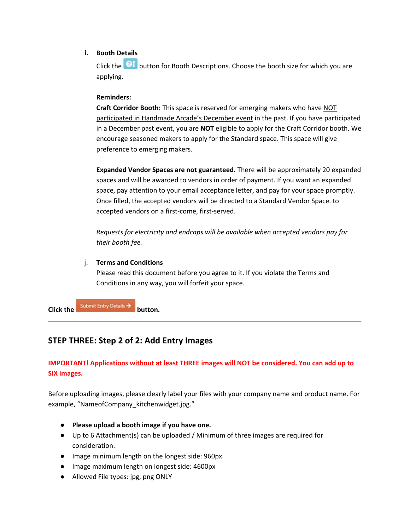# **i. Booth Details**

Click the **O**t button for Booth Descriptions. Choose the booth size for which you are applying.

# **Reminders:**

**Craft Corridor Booth:** This space is reserved for emerging makers who have NOT participated in Handmade Arcade's December event in the past. If you have participated in a December past event, you are **NOT** eligible to apply for the Craft Corridor booth. We encourage seasoned makers to apply for the Standard space. This space will give preference to emerging makers.

**Expanded Vendor Spaces are not guaranteed.** There will be approximately 20 expanded spaces and will be awarded to vendors in order of payment. If you want an expanded space, pay attention to your email acceptance letter, and pay for your space promptly. Once filled, the accepted vendors will be directed to a Standard Vendor Space. to accepted vendors on a first-come, first-served.

*Requests for electricity and endcaps will be available when accepted vendors pay for their booth fee.*

# j. **Terms and Conditions**

Please read this document before you agree to it. If you violate the Terms and Conditions in any way, you will forfeit your space.

**Click the** Submit Entry Details > button.

# **STEP THREE: Step 2 of 2: Add Entry Images**

# **IMPORTANT! Applications without at least THREE images will NOT be considered. You can add up to SIX images.**

Before uploading images, please clearly label your files with your company name and product name. For example, "NameofCompany\_kitchenwidget.jpg."

- **Please upload a booth image if you have one.**
- Up to 6 Attachment(s) can be uploaded / Minimum of three images are required for consideration.
- Image minimum length on the longest side: 960px
- Image maximum length on longest side: 4600px
- Allowed File types: jpg, png ONLY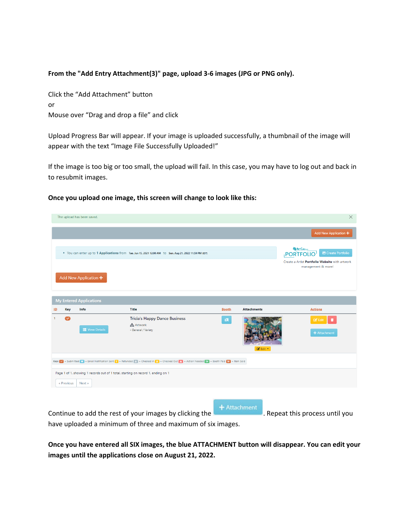# **From the "Add Entry Attachment(3)" page, upload 3-6 images (JPG or PNG only).**

Click the "Add Attachment" button or Mouse over "Drag and drop a file" and click

Upload Progress Bar will appear. If your image is uploaded successfully, a thumbnail of the image will appear with the text "Image File Successfully Uploaded!"

If the image is too big or too small, the upload will fail. In this case, you may have to log out and back in to resubmit images.

#### **Once you upload one image, this screen will change to look like this:**

|           |            | The upload has been saved.                                                                 |                                                                                                                                           |                                |                    | $\times$                                                                                                                                      |  |  |  |  |
|-----------|------------|--------------------------------------------------------------------------------------------|-------------------------------------------------------------------------------------------------------------------------------------------|--------------------------------|--------------------|-----------------------------------------------------------------------------------------------------------------------------------------------|--|--|--|--|
|           |            |                                                                                            |                                                                                                                                           |                                |                    | Add New Application +                                                                                                                         |  |  |  |  |
|           |            | Add New Application +                                                                      | . You can enter up to 1 Applications from Tue. Jun 15, 2021 12:00 AM to Sun. Aug 21, 2022 11:59 PM (EDT)                                  |                                |                    | <b>CO ARTCALLON</b><br><b>En</b> Create Portfolio<br><b>PORTFOLIO</b><br>Create a Artist Portfolio Website with artwork<br>management & more! |  |  |  |  |
|           |            |                                                                                            |                                                                                                                                           | <b>My Entered Applications</b> |                    |                                                                                                                                               |  |  |  |  |
|           |            |                                                                                            |                                                                                                                                           |                                |                    |                                                                                                                                               |  |  |  |  |
| <u>ID</u> | <b>Key</b> | Info                                                                                       | <b>Title</b>                                                                                                                              | <b>Booth</b>                   | <b>Attachments</b> | <b>Actions</b>                                                                                                                                |  |  |  |  |
|           | $\bullet$  | <b>E</b> View Details                                                                      | <b>Tricia's Happy Dance Business</b><br><b>A</b> Artwork<br>- General / Variety                                                           | $\mathbf{R}^{\mathbf{N}}$      | ■ Edit ▼           | $Z$ Edit<br>п<br>+ Attachment                                                                                                                 |  |  |  |  |
|           | « Previous | Page 1 of 1, showing 1 records out of 1 total, starting on record 1, ending on 1<br>Next » | Key: v = Submitted x = Email Notification Sent S = Refunded x = Checked In S = Checked Out A = Action Needed S = Booth Paid S = Item Sold |                                |                    |                                                                                                                                               |  |  |  |  |

Continue to add the rest of your images by clicking the **FA** Attachment . Repeat this process until you have uploaded a minimum of three and maximum of six images.

**Once you have entered all SIX images, the blue ATTACHMENT button will disappear. You can edit your images until the applications close on August 21, 2022.**